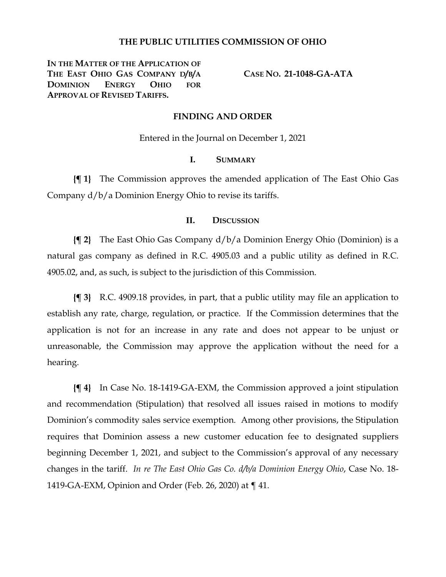## **THE PUBLIC UTILITIES COMMISSION OF OHIO**

**IN THE MATTER OF THE APPLICATION OF THE EAST OHIO GAS COMPANY D/B/A DOMINION ENERGY OHIO FOR APPROVAL OF REVISED TARIFFS.**

**CASE NO. 21-1048-GA-ATA**

### **FINDING AND ORDER**

Entered in the Journal on December 1, 2021

### **I. SUMMARY**

**{¶ 1}** The Commission approves the amended application of The East Ohio Gas Company d/b/a Dominion Energy Ohio to revise its tariffs.

### **II. DISCUSSION**

**{¶ 2}** The East Ohio Gas Company d/b/a Dominion Energy Ohio (Dominion) is a natural gas company as defined in R.C. 4905.03 and a public utility as defined in R.C. 4905.02, and, as such, is subject to the jurisdiction of this Commission.

**{¶ 3}** R.C. 4909.18 provides, in part, that a public utility may file an application to establish any rate, charge, regulation, or practice. If the Commission determines that the application is not for an increase in any rate and does not appear to be unjust or unreasonable, the Commission may approve the application without the need for a hearing.

**{¶ 4}** In Case No. 18-1419-GA-EXM, the Commission approved a joint stipulation and recommendation (Stipulation) that resolved all issues raised in motions to modify Dominion's commodity sales service exemption. Among other provisions, the Stipulation requires that Dominion assess a new customer education fee to designated suppliers beginning December 1, 2021, and subject to the Commission's approval of any necessary changes in the tariff. *In re The East Ohio Gas Co. d/b/a Dominion Energy Ohio*, Case No. 18- 1419-GA-EXM, Opinion and Order (Feb. 26, 2020) at ¶ 41.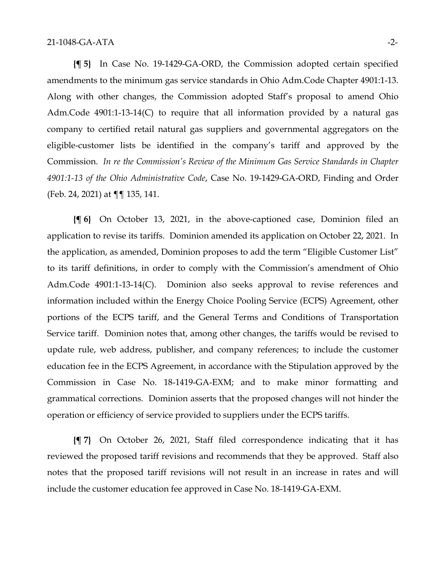**{¶ 5}** In Case No. 19-1429-GA-ORD, the Commission adopted certain specified amendments to the minimum gas service standards in Ohio Adm.Code Chapter 4901:1-13. Along with other changes, the Commission adopted Staff's proposal to amend Ohio Adm.Code 4901:1-13-14(C) to require that all information provided by a natural gas company to certified retail natural gas suppliers and governmental aggregators on the eligible-customer lists be identified in the company's tariff and approved by the Commission. *In re the Commission's Review of the Minimum Gas Service Standards in Chapter 4901:1-13 of the Ohio Administrative Code*, Case No. 19-1429-GA-ORD, Finding and Order (Feb. 24, 2021) at ¶¶ 135, 141.

**{¶ 6}** On October 13, 2021, in the above-captioned case, Dominion filed an application to revise its tariffs. Dominion amended its application on October 22, 2021. In the application, as amended, Dominion proposes to add the term "Eligible Customer List" to its tariff definitions, in order to comply with the Commission's amendment of Ohio Adm.Code 4901:1-13-14(C). Dominion also seeks approval to revise references and information included within the Energy Choice Pooling Service (ECPS) Agreement, other portions of the ECPS tariff, and the General Terms and Conditions of Transportation Service tariff. Dominion notes that, among other changes, the tariffs would be revised to update rule, web address, publisher, and company references; to include the customer education fee in the ECPS Agreement, in accordance with the Stipulation approved by the Commission in Case No. 18-1419-GA-EXM; and to make minor formatting and grammatical corrections. Dominion asserts that the proposed changes will not hinder the operation or efficiency of service provided to suppliers under the ECPS tariffs.

**{¶ 7}** On October 26, 2021, Staff filed correspondence indicating that it has reviewed the proposed tariff revisions and recommends that they be approved. Staff also notes that the proposed tariff revisions will not result in an increase in rates and will include the customer education fee approved in Case No. 18-1419-GA-EXM.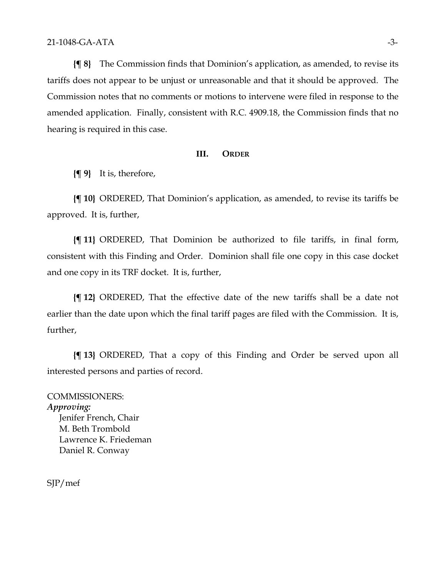**{¶ 8}** The Commission finds that Dominion's application, as amended, to revise its tariffs does not appear to be unjust or unreasonable and that it should be approved. The Commission notes that no comments or motions to intervene were filed in response to the amended application. Finally, consistent with R.C. 4909.18, the Commission finds that no hearing is required in this case.

#### **III. ORDER**

**{¶ 9}** It is, therefore,

**{¶ 10}** ORDERED, That Dominion's application, as amended, to revise its tariffs be approved. It is, further,

**{¶ 11}** ORDERED, That Dominion be authorized to file tariffs, in final form, consistent with this Finding and Order. Dominion shall file one copy in this case docket and one copy in its TRF docket. It is, further,

**{¶ 12}** ORDERED, That the effective date of the new tariffs shall be a date not earlier than the date upon which the final tariff pages are filed with the Commission. It is, further,

**{¶ 13}** ORDERED, That a copy of this Finding and Order be served upon all interested persons and parties of record.

COMMISSIONERS: *Approving:*  Jenifer French, Chair M. Beth Trombold Lawrence K. Friedeman Daniel R. Conway

SJP/mef